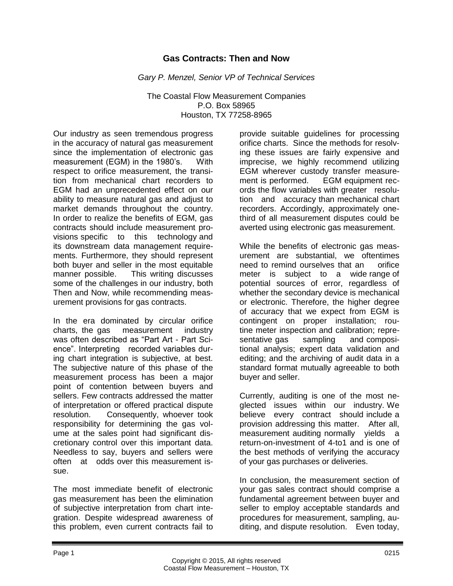## **Gas Contracts: Then and Now**

*Gary P. Menzel, Senior VP of Technical Services*

The Coastal Flow Measurement Companies P.O. Box 58965 Houston, TX 77258-8965

Our industry as seen tremendous progress in the accuracy of natural gas measurement since the implementation of electronic gas measurement (EGM) in the 1980's. With respect to orifice measurement, the transition from mechanical chart recorders to EGM had an unprecedented effect on our ability to measure natural gas and adjust to market demands throughout the country. In order to realize the benefits of EGM, gas contracts should include measurement provisions specific to this technology and its downstream data management requirements. Furthermore, they should represent both buyer and seller in the most equitable manner possible. This writing discusses some of the challenges in our industry, both Then and Now, while recommending measurement provisions for gas contracts.

In the era dominated by circular orifice charts, the gas measurement industry was often described as "Part Art - Part Science". Interpreting recorded variables during chart integration is subjective, at best. The subjective nature of this phase of the measurement process has been a major point of contention between buyers and sellers. Few contracts addressed the matter of interpretation or offered practical dispute resolution. Consequently, whoever took responsibility for determining the gas volume at the sales point had significant discretionary control over this important data. Needless to say, buyers and sellers were often at odds over this measurement issue.

The most immediate benefit of electronic gas measurement has been the elimination of subjective interpretation from chart integration. Despite widespread awareness of this problem, even current contracts fail to

provide suitable guidelines for processing orifice charts. Since the methods for resolving these issues are fairly expensive and imprecise, we highly recommend utilizing EGM wherever custody transfer measurement is performed. EGM equipment records the flow variables with greater resolution and accuracy than mechanical chart recorders. Accordingly, approximately onethird of all measurement disputes could be averted using electronic gas measurement.

While the benefits of electronic gas measurement are substantial, we oftentimes need to remind ourselves that an orifice meter is subject to a wide range of potential sources of error, regardless of whether the secondary device is mechanical or electronic. Therefore, the higher degree of accuracy that we expect from EGM is contingent on proper installation; routine meter inspection and calibration; representative gas sampling and compositional analysis; expert data validation and editing; and the archiving of audit data in a standard format mutually agreeable to both buyer and seller.

Currently, auditing is one of the most neglected issues within our industry. We believe every contract should include a provision addressing this matter. After all, measurement auditing normally yields a return-on-investment of 4-to1 and is one of the best methods of verifying the accuracy of your gas purchases or deliveries.

In conclusion, the measurement section of your gas sales contract should comprise a fundamental agreement between buyer and seller to employ acceptable standards and procedures for measurement, sampling, auditing, and dispute resolution. Even today,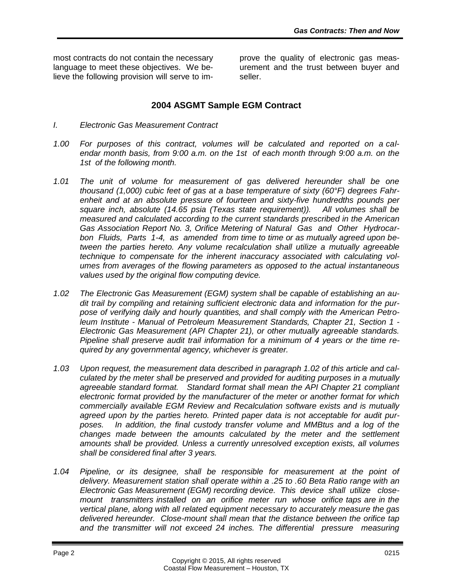most contracts do not contain the necessary language to meet these objectives. We believe the following provision will serve to improve the quality of electronic gas measurement and the trust between buyer and seller.

## **2004 ASGMT Sample EGM Contract**

- *I. Electronic Gas Measurement Contract*
- *1.00 For purposes of this contract, volumes will be calculated and reported on a calendar month basis, from 9:00 a.m. on the 1st of each month through 9:00 a.m. on the 1st of the following month.*
- *1.01 The unit of volume for measurement of gas delivered hereunder shall be one thousand (1,000) cubic feet of gas at a base temperature of sixty (60°F) degrees Fahrenheit and at an absolute pressure of fourteen and sixty-five hundredths pounds per square inch, absolute (14.65 psia (Texas state requirement)). All volumes shall be measured and calculated according to the current standards prescribed in the American Gas Association Report No. 3, Orifice Metering of Natural Gas and Other Hydrocarbon Fluids, Parts 1-4, as amended from time to time or as mutually agreed upon between the parties hereto. Any volume recalculation shall utilize a mutually agreeable technique to compensate for the inherent inaccuracy associated with calculating volumes from averages of the flowing parameters as opposed to the actual instantaneous values used by the original flow computing device.*
- *1.02 The Electronic Gas Measurement (EGM) system shall be capable of establishing an audit trail by compiling and retaining sufficient electronic data and information for the purpose of verifying daily and hourly quantities, and shall comply with the American Petroleum Institute - Manual of Petroleum Measurement Standards, Chapter 21, Section 1 - Electronic Gas Measurement (API Chapter 21), or other mutually agreeable standards. Pipeline shall preserve audit trail information for a minimum of 4 years or the time required by any governmental agency, whichever is greater.*
- *1.03 Upon request, the measurement data described in paragraph 1.02 of this article and calculated by the meter shall be preserved and provided for auditing purposes in a mutually agreeable standard format. Standard format shall mean the API Chapter 21 compliant electronic format provided by the manufacturer of the meter or another format for which commercially available EGM Review and Recalculation software exists and is mutually agreed upon by the parties hereto. Printed paper data is not acceptable for audit purposes. In addition, the final custody transfer volume and MMBtus and a log of the changes made between the amounts calculated by the meter and the settlement amounts shall be provided. Unless a currently unresolved exception exists, all volumes shall be considered final after 3 years.*
- *1.04 Pipeline, or its designee, shall be responsible for measurement at the point of delivery. Measurement station shall operate within a .25 to .60 Beta Ratio range with an Electronic Gas Measurement (EGM) recording device. This device shall utilize closemount transmitters installed on an orifice meter run whose orifice taps are in the vertical plane, along with all related equipment necessary to accurately measure the gas delivered hereunder. Close-mount shall mean that the distance between the orifice tap and the transmitter will not exceed 24 inches. The differential pressure measuring*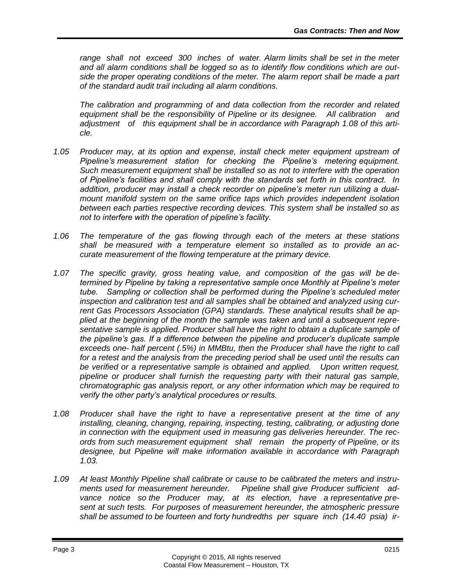*range shall not exceed 300 inches of water. Alarm limits shall be set in the meter and all alarm conditions shall be logged so as to identify flow conditions which are outside the proper operating conditions of the meter. The alarm report shall be made a part of the standard audit trail including all alarm conditions.*

*The calibration and programming of and data collection from the recorder and related equipment shall be the responsibility of Pipeline or its designee. All calibration and adjustment of this equipment shall be in accordance with Paragraph 1.08 of this article.*

- *1.05 Producer may, at its option and expense, install check meter equipment upstream of Pipeline's measurement station for checking the Pipeline's metering equipment. Such measurement equipment shall be installed so as not to interfere with the operation of Pipeline's facilities and shall comply with the standards set forth in this contract. In addition, producer may install a check recorder on pipeline's meter run utilizing a dualmount manifold system on the same orifice taps which provides independent isolation between each parties respective recording devices. This system shall be installed so as not to interfere with the operation of pipeline's facility.*
- *1.06 The temperature of the gas flowing through each of the meters at these stations shall be measured with a temperature element so installed as to provide an accurate measurement of the flowing temperature at the primary device.*
- *1.07 The specific gravity, gross heating value, and composition of the gas will be determined by Pipeline by taking a representative sample once Monthly at Pipeline's meter tube. Sampling or collection shall be performed during the Pipeline's scheduled meter inspection and calibration test and all samples shall be obtained and analyzed using current Gas Processors Association (GPA) standards. These analytical results shall be applied at the beginning of the month the sample was taken and until a subsequent representative sample is applied. Producer shall have the right to obtain a duplicate sample of the pipeline's gas. If a difference between the pipeline and producer's duplicate sample exceeds one- half percent (.5%) in MMBtu, then the Producer shall have the right to call for a retest and the analysis from the preceding period shall be used until the results can be verified or a representative sample is obtained and applied. Upon written request, pipeline or producer shall furnish the requesting party with their natural gas sample, chromatographic gas analysis report, or any other information which may be required to verify the other party's analytical procedures or results.*
- *1.08 Producer shall have the right to have a representative present at the time of any installing, cleaning, changing, repairing, inspecting, testing, calibrating, or adjusting done in connection with the equipment used in measuring gas deliveries hereunder. The records from such measurement equipment shall remain the property of Pipeline, or its designee, but Pipeline will make information available in accordance with Paragraph 1.03.*
- *1.09 At least Monthly Pipeline shall calibrate or cause to be calibrated the meters and instruments used for measurement hereunder. Pipeline shall give Producer sufficient advance notice so the Producer may, at its election, have a representative present at such tests. For purposes of measurement hereunder, the atmospheric pressure shall be assumed to be fourteen and forty hundredths per square inch (14.40 psia) ir-*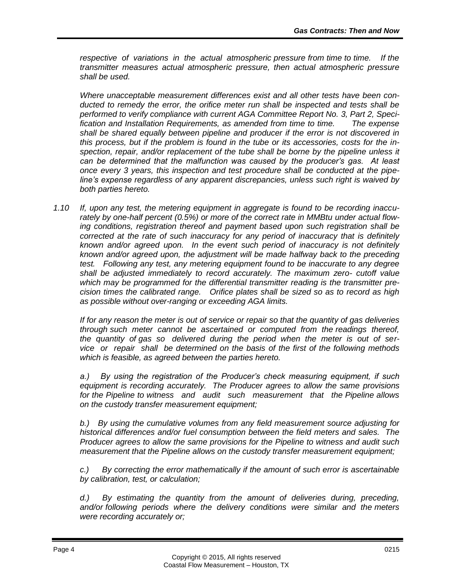*respective of variations in the actual atmospheric pressure from time to time. If the transmitter measures actual atmospheric pressure, then actual atmospheric pressure shall be used.*

*Where unacceptable measurement differences exist and all other tests have been conducted to remedy the error, the orifice meter run shall be inspected and tests shall be performed to verify compliance with current AGA Committee Report No. 3, Part 2, Specification and Installation Requirements, as amended from time to time. The expense shall be shared equally between pipeline and producer if the error is not discovered in this process, but if the problem is found in the tube or its accessories, costs for the inspection, repair, and/or replacement of the tube shall be borne by the pipeline unless it can be determined that the malfunction was caused by the producer's gas. At least once every 3 years, this inspection and test procedure shall be conducted at the pipeline's expense regardless of any apparent discrepancies, unless such right is waived by both parties hereto.*

*1.10 If, upon any test, the metering equipment in aggregate is found to be recording inaccurately by one-half percent (0.5%) or more of the correct rate in MMBtu under actual flowing conditions, registration thereof and payment based upon such registration shall be corrected at the rate of such inaccuracy for any period of inaccuracy that is definitely known and/or agreed upon. In the event such period of inaccuracy is not definitely known and/or agreed upon, the adjustment will be made halfway back to the preceding test. Following any test, any metering equipment found to be inaccurate to any degree shall be adjusted immediately to record accurately. The maximum zero- cutoff value which may be programmed for the differential transmitter reading is the transmitter precision times the calibrated range. Orifice plates shall be sized so as to record as high as possible without over-ranging or exceeding AGA limits.*

*If for any reason the meter is out of service or repair so that the quantity of gas deliveries through such meter cannot be ascertained or computed from the readings thereof, the quantity of gas so delivered during the period when the meter is out of service or repair shall be determined on the basis of the first of the following methods which is feasible, as agreed between the parties hereto.*

*a.) By using the registration of the Producer's check measuring equipment, if such equipment is recording accurately. The Producer agrees to allow the same provisions for the Pipeline to witness and audit such measurement that the Pipeline allows on the custody transfer measurement equipment;*

*b.) By using the cumulative volumes from any field measurement source adjusting for historical differences and/or fuel consumption between the field meters and sales. The Producer agrees to allow the same provisions for the Pipeline to witness and audit such measurement that the Pipeline allows on the custody transfer measurement equipment;*

*c.) By correcting the error mathematically if the amount of such error is ascertainable by calibration, test, or calculation;*

*d.) By estimating the quantity from the amount of deliveries during, preceding, and/or following periods where the delivery conditions were similar and the meters were recording accurately or;*